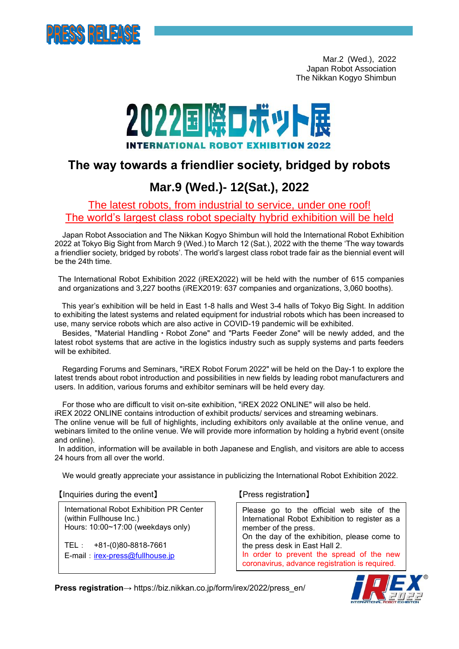

 Mar.2 (Wed.), 2022 Japan Robot Association The Nikkan Kogyo Shimbun

# 2022国際ロボット展

## **The way towards a friendlier society, bridged by robots**

# **Mar.9 (Wed.)- 12(Sat.), 2022**

## The latest robots, from industrial to service, under one roof! The world's largest class robot specialty hybrid exhibition will be held

Japan Robot Association and The Nikkan Kogyo Shimbun will hold the International Robot Exhibition 2022 at Tokyo Big Sight from March 9 (Wed.) to March 12 (Sat.), 2022 with the theme 'The way towards a friendlier society, bridged by robots'. The world's largest class robot trade fair as the biennial event will be the 24th time.

The International Robot Exhibition 2022 (iREX2022) will be held with the number of 615 companies and organizations and 3,227 booths (iREX2019: 637 companies and organizations, 3,060 booths).

 This year's exhibition will be held in East 1-8 halls and West 3-4 halls of Tokyo Big Sight. In addition to exhibiting the latest systems and related equipment for industrial robots which has been increased to use, many service robots which are also active in COVID-19 pandemic will be exhibited.

Besides, "Material Handling・Robot Zone" and "Parts Feeder Zone" will be newly added, and the latest robot systems that are active in the logistics industry such as supply systems and parts feeders will be exhibited.

Regarding Forums and Seminars, "iREX Robot Forum 2022" will be held on the Day-1 to explore the latest trends about robot introduction and possibilities in new fields by leading robot manufacturers and users. In addition, various forums and exhibitor seminars will be held every day.

For those who are difficult to visit on-site exhibition, "iREX 2022 ONLINE" will also be held.

iREX 2022 ONLINE contains introduction of exhibit products/ services and streaming webinars.

The online venue will be full of highlights, including exhibitors only available at the online venue, and webinars limited to the online venue. We will provide more information by holding a hybrid event (onsite and online).

In addition, information will be available in both Japanese and English, and visitors are able to access 24 hours from all over the world.

We would greatly appreciate your assistance in publicizing the International Robot Exhibition 2022.

【Inquiries during the event】 【Press registration】

International Robot Exhibition PR Center (within Fullhouse Inc.) Hours: 10:00~17:00 (weekdays only)

TEL: +81-(0)80-8818-7661 E-mail: [irex-press@fullhouse.jp](mailto:irex-press@fullhouse.jp)

Please go to the official web site of the International Robot Exhibition to register as a member of the press. On the day of the exhibition, please come to the press desk in East Hall 2. In order to prevent the spread of the new coronavirus, advance registration is required.

**Press registration**→ https://biz.nikkan.co.jp/form/irex/2022/press\_en/

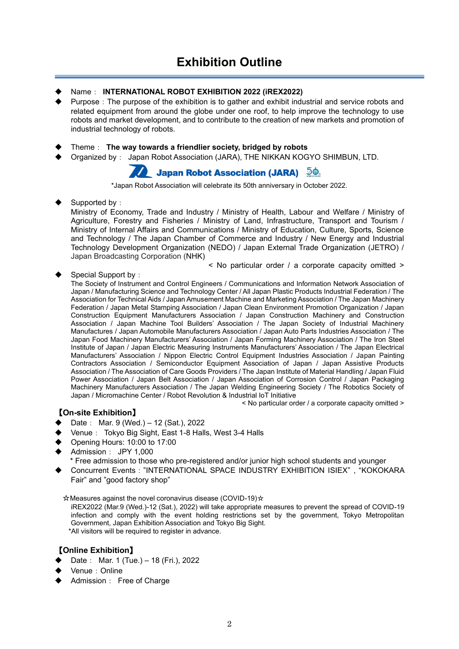#### Name: **INTERNATIONAL ROBOT EXHIBITION 2022 (iREX2022)**

- Purpose: The purpose of the exhibition is to gather and exhibit industrial and service robots and related equipment from around the globe under one roof, to help improve the technology to use robots and market development, and to contribute to the creation of new markets and promotion of industrial technology of robots.
- ◆ Theme: **The way towards a friendlier society, bridged by robots**
- Organized by: Japan Robot Association (JARA), THE NIKKAN KOGYO SHIMBUN, LTD.

## **Japan Robot Association (JARA)** 50

\*Japan Robot Association will celebrate its 50th anniversary in October 2022.

Supported by:

Ministry of Economy, Trade and Industry / Ministry of Health, Labour and Welfare / Ministry of Agriculture, Forestry and Fisheries / Ministry of Land, Infrastructure, Transport and Tourism / Ministry of Internal Affairs and Communications / Ministry of Education, Culture, Sports, Science and Technology / The Japan Chamber of Commerce and Industry / New Energy and Industrial Technology Development Organization (NEDO) / Japan External Trade Organization (JETRO) / Japan Broadcasting Corporation (NHK)

< No particular order / a corporate capacity omitted >

#### Special Support by:

The Society of Instrument and Control Engineers / Communications and Information Network Association of Japan / Manufacturing Science and Technology Center / All Japan Plastic Products Industrial Federation / The Association for Technical Aids / Japan Amusement Machine and Marketing Association / The Japan Machinery Federation / Japan Metal Stamping Association / Japan Clean Environment Promotion Organization / Japan Construction Equipment Manufacturers Association / Japan Construction Machinery and Construction Association / Japan Machine Tool Builders' Association / The Japan Society of Industrial Machinery Manufactures / Japan Automobile Manufacturers Association / Japan Auto Parts Industries Association / The Japan Food Machinery Manufacturers' Association / Japan Forming Machinery Association / The Iron Steel Institute of Japan / Japan Electric Measuring Instruments Manufacturers' Association / The Japan Electrical Manufacturers' Association / Nippon Electric Control Equipment Industries Association / Japan Painting Contractors Association / Semiconductor Equipment Association of Japan / Japan Assistive Products Association / The Association of Care Goods Providers / The Japan Institute of Material Handling / Japan Fluid Power Association / Japan Belt Association / Japan Association of Corrosion Control / Japan Packaging Machinery Manufacturers Association / The Japan Welding Engineering Society / The Robotics Society of Japan / Micromachine Center / Robot Revolution & Industrial IoT Initiative

< No particular order / a corporate capacity omitted >

#### 【**On-site Exhibition**】

- Date: Mar. 9 (Wed.) 12 (Sat.), 2022
- Venue: Tokyo Big Sight, East 1-8 Halls, West 3-4 Halls
- Opening Hours: 10:00 to 17:00
- Admission: JPY 1,000
	- \* Free admission to those who pre-registered and/or junior high school students and younger
- Concurrent Events: "INTERNATIONAL SPACE INDUSTRY EXHIBITION ISIEX", "KOKOKARA Fair" and "good factory shop"

☆Measures against the novel coronavirus disease (COVID-19)☆

iREX2022 (Mar.9 (Wed.)-12 (Sat.), 2022) will take appropriate measures to prevent the spread of COVID-19 infection and comply with the event holding restrictions set by the government, Tokyo Metropolitan Government, Japan Exhibition Association and Tokyo Big Sight. \*All visitors will be required to register in advance.

#### 【**Online Exhibition**】

- Date: Mar. 1 (Tue.) 18 (Fri.), 2022
- Venue: Online
- Admission: Free of Charge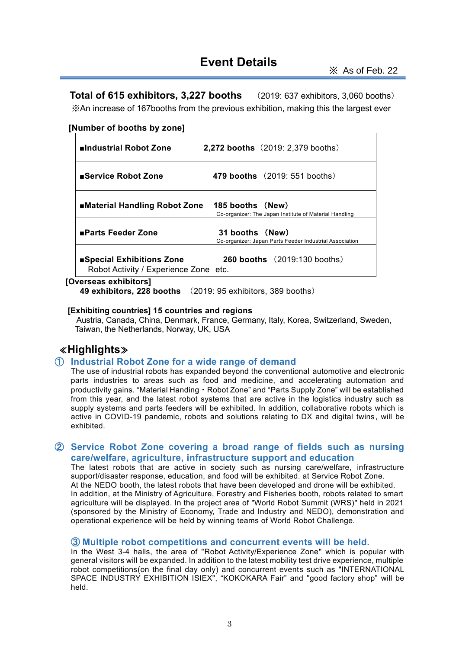## **Event Details**

**Total of 615 exhibitors, 3,227 booths** (2019: 637 exhibitors, 3,060 booths) ※An increase of 167booths from the previous exhibition, making this the largest ever

#### **[Number of booths by zone]**

| ■Industrial Robot Zone                                             | 2,272 booths (2019: 2,379 booths)                                          |
|--------------------------------------------------------------------|----------------------------------------------------------------------------|
| ■Service Robot Zone                                                | <b>479 booths</b> (2019: 551 booths)                                       |
| ■Material Handling Robot Zone                                      | 185 booths (New)<br>Co-organizer: The Japan Institute of Material Handling |
| ■Parts Feeder Zone                                                 | 31 booths (New)<br>Co-organizer: Japan Parts Feeder Industrial Association |
| ■Special Exhibitions Zone<br>Robot Activity / Experience Zone etc. | <b>260 booths</b> $(2019:130$ booths)                                      |

#### **[Overseas exhibitors]**

**49 exhibitors, 228 booths** (2019: 95 exhibitors, 389 booths)

#### **[Exhibiting countries] 15 countries and regions**

 Austria, Canada, China, Denmark, France, Germany, Italy, Korea, Switzerland, Sweden, Taiwan, the Netherlands, Norway, UK, USA

## ≪**Highlights**≫

#### ① **Industrial Robot Zone for a wide range of demand**

The use of industrial robots has expanded beyond the conventional automotive and electronic parts industries to areas such as food and medicine, and accelerating automation and productivity gains. "Material Handing・Robot Zone" and "Parts Supply Zone" will be established from this year, and the latest robot systems that are active in the logistics industry such as supply systems and parts feeders will be exhibited. In addition, collaborative robots which is active in COVID-19 pandemic, robots and solutions relating to DX and digital twins, will be exhibited.

#### ② **Service Robot Zone covering a broad range of fields such as nursing care/welfare, agriculture, infrastructure support and education**

The latest robots that are active in society such as nursing care/welfare, infrastructure support/disaster response, education, and food will be exhibited. at Service Robot Zone. At the NEDO booth, the latest robots that have been developed and drone will be exhibited. In addition, at the Ministry of Agriculture, Forestry and Fisheries booth, robots related to smart agriculture will be displayed. In the project area of "World Robot Summit (WRS)" held in 2021 (sponsored by the Ministry of Economy, Trade and Industry and NEDO), demonstration and operational experience will be held by winning teams of World Robot Challenge.

#### ③ **Multiple robot competitions and concurrent events will be held.**

In the West 3-4 halls, the area of "Robot Activity/Experience Zone" which is popular with general visitors will be expanded. In addition to the latest mobility test drive experience, multiple robot competitions(on the final day only) and concurrent events such as "INTERNATIONAL SPACE INDUSTRY EXHIBITION ISIEX", "KOKOKARA Fair" and "good factory shop" will be held.